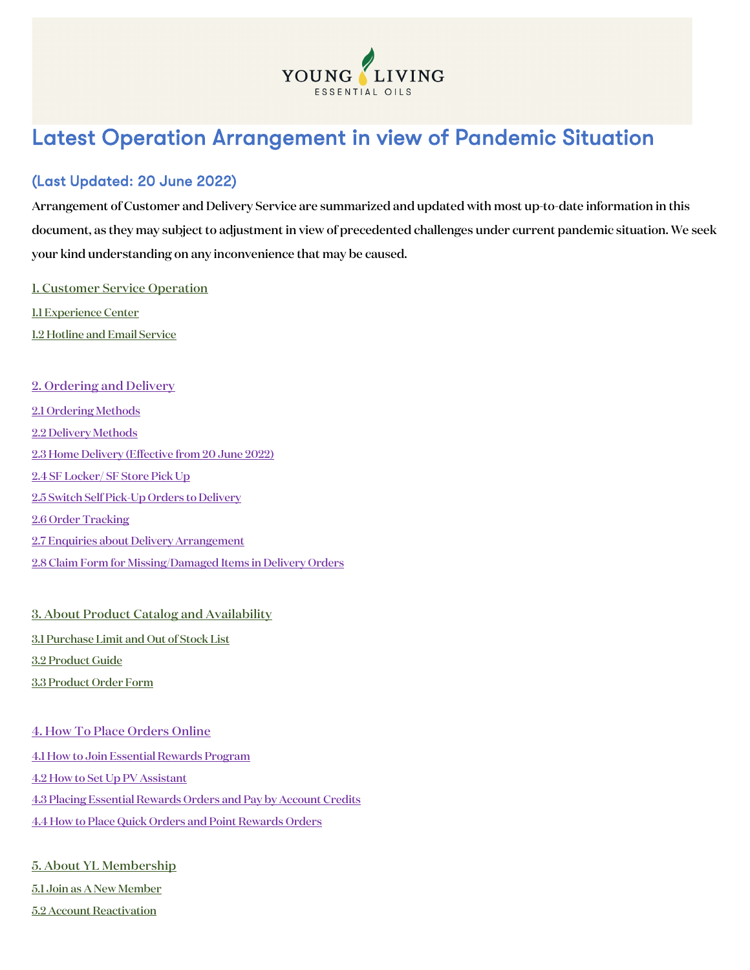

# Latest Operation Arrangement in view of Pandemic Situation

### (Last Updated: 20 June 2022)

Arrangement of Customer and Delivery Service are summarized and updated with most up-to-date information in this document, as they may subject to adjustment in view of precedented challenges under current pandemic situation. We seek your kind understanding on any inconvenience that may be caused.

[1. Customer Service Operation](#page-1-0)

[1.1 Experience Center](#page-1-1) [1.2 Hotline and Email Service](#page-2-0)

2. Ordering [and Delivery](#page-3-0) [2.1 Ordering Methods](#page-3-1) [2.2 Delivery](#page-3-2) Methods [2.3 Home Delivery](#page-3-3) (Effective from 20 June 2022) [2.4 SF Locker/ SF Store Pick Up](#page-5-0) [2.5 Switch Self Pick-Up Orders to Delivery](#page-5-1) [2.6 Order Tracking](#page-5-2) [2.7 Enquiries about Delivery Arrangement](#page-12-0) [2.8 Claim Form for Missing/Damaged Items in Delivery Orders](#page-12-1)

[3. About Product Catalog and Availability](#page-13-0) [3.1 Purchase Limit and Out of Stock List](#page-13-1) [3.2 Product Guide](#page-13-2) [3.3 Product Order Form](#page-13-3)

[4. How To Place Orders Online](#page-14-0) [4.1 How to Join Essential Rewards Program](#page-14-1) [4.2 How to Set Up PV Assistant](#page-14-2) [4.3 Placing Essential Rewards Orders and Pay by Account Credits](#page-14-3) [4.4 How to Place Quick Orders and Point Rewards Orders](#page-14-4)

[5. About YL Membership](#page-15-0) [5.1 Join as A New Member](#page-15-1) [5.2 Account Reactivation](#page-15-2)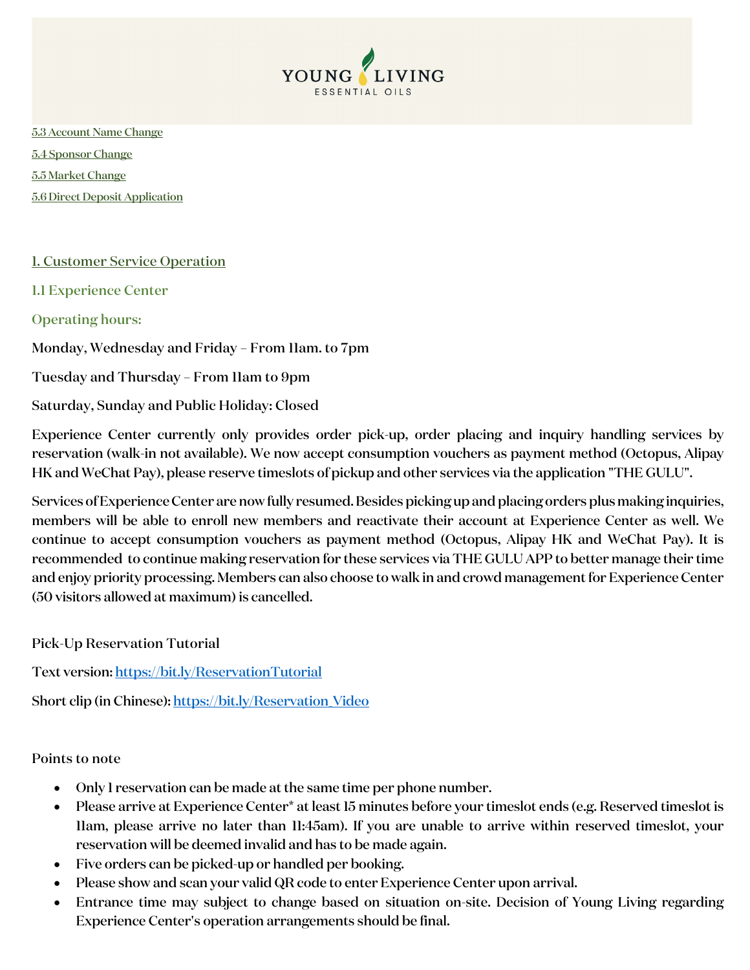

[5.3 Account Name Change](#page-15-3) [5.4 Sponsor Change](#page-16-0) [5.5 Market Change](#page-16-1) [5.6 Direct Deposit Application](#page-17-0)

#### <span id="page-1-0"></span>1. Customer Service Operation

<span id="page-1-1"></span>1.1 Experience Center

#### Operating hours:

Monday, Wednesday and Friday – From 11am. to 7pm

Tuesday and Thursday – From 11am to 9pm

Saturday, Sunday and Public Holiday: Closed

Experience Center currently only provides order pick-up, order placing and inquiry handling services by reservation (walk-in not available). We now accept consumption vouchers as payment method (Octopus, Alipay HK and WeChat Pay), please reserve timeslots of pickup and other services via the application "THE GULU".

Services of Experience Center are now fully resumed. Besides picking up and placing orders plus making inquiries, members will be able to enroll new members and reactivate their account at Experience Center as well. We continue to accept consumption vouchers as payment method (Octopus, Alipay HK and WeChat Pay). It is recommended to continue making reservation for these services via THE GULU APP to better manage their time and enjoy priority processing. Members can also choose to walk in and crowd management for Experience Center (50 visitors allowed at maximum) is cancelled.

Pick-Up Reservation Tutorial

Text version[: https://bit.ly/ReservationTutorial](https://bit.ly/ReservationTutorial)

Short clip (in Chinese): https://bit.ly/Reservation Video

Points to note

- Only 1 reservation can be made at the same time per phone number.
- Please arrive at Experience Center\* at least 15 minutes before your timeslot ends (e.g. Reserved timeslot is 11am, please arrive no later than 11:45am). If you are unable to arrive within reserved timeslot, your reservation will be deemed invalid and has to be made again.
- Five orders can be picked-up or handled per booking.
- Please show and scan your valid QR code to enter Experience Center upon arrival.
- Entrance time may subject to change based on situation on-site. Decision of Young Living regarding Experience Center's operation arrangements should be final.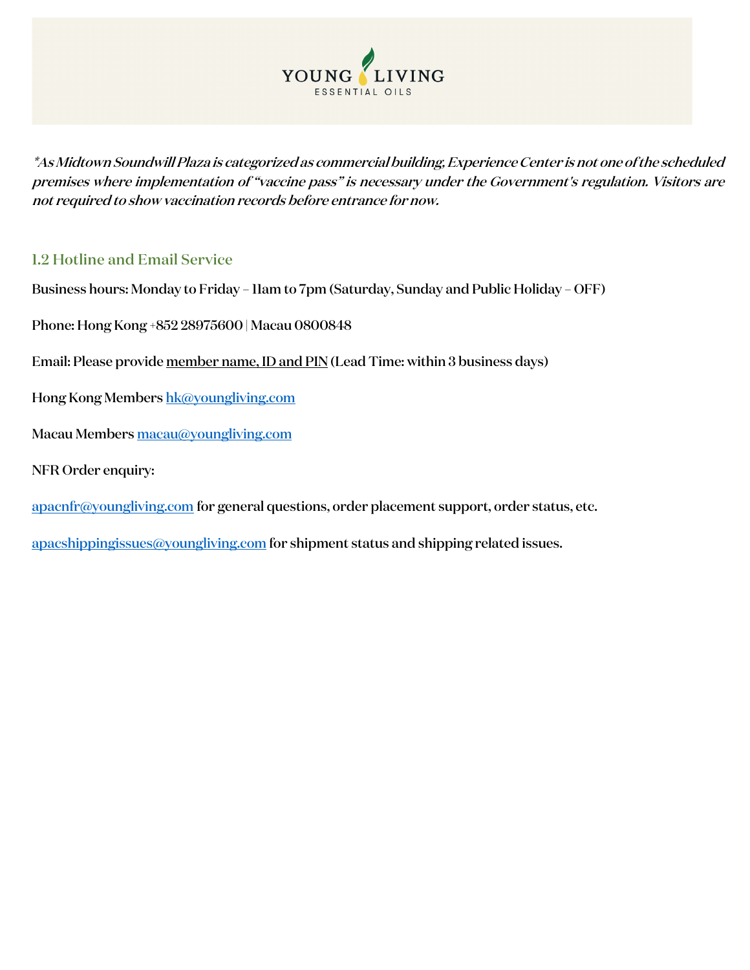<span id="page-2-0"></span>

\*As Midtown Soundwill Plaza is categorized as commercial building, Experience Center is not one of the scheduled premises where implementation of "vaccine pass" is necessary under the Government's regulation. Visitors are not required to show vaccination records before entrance for now.

### 1.2 Hotline and Email Service

- Business hours: Monday to Friday 11am to 7pm (Saturday, Sunday and Public Holiday OFF)
- Phone: Hong Kong +852 28975600 | Macau 0800848
- Email: Please provide member name, ID and PIN (Lead Time: within 3 business days)
- Hong Kong Member[s hk@youngliving.com](mailto:hk@youngliving.com)
- Macau Members [macau@youngliving.com](mailto:macau@youngliving.com)
- NFR Order enquiry:
- [apacnfr@youngliving.com](mailto:apacnfr@youngliving.com) for general questions, order placement support, order status, etc.
- [apacshippingissues@youngliving.com](mailto:apacshippingissues@youngliving.com) for shipment status and shipping related issues.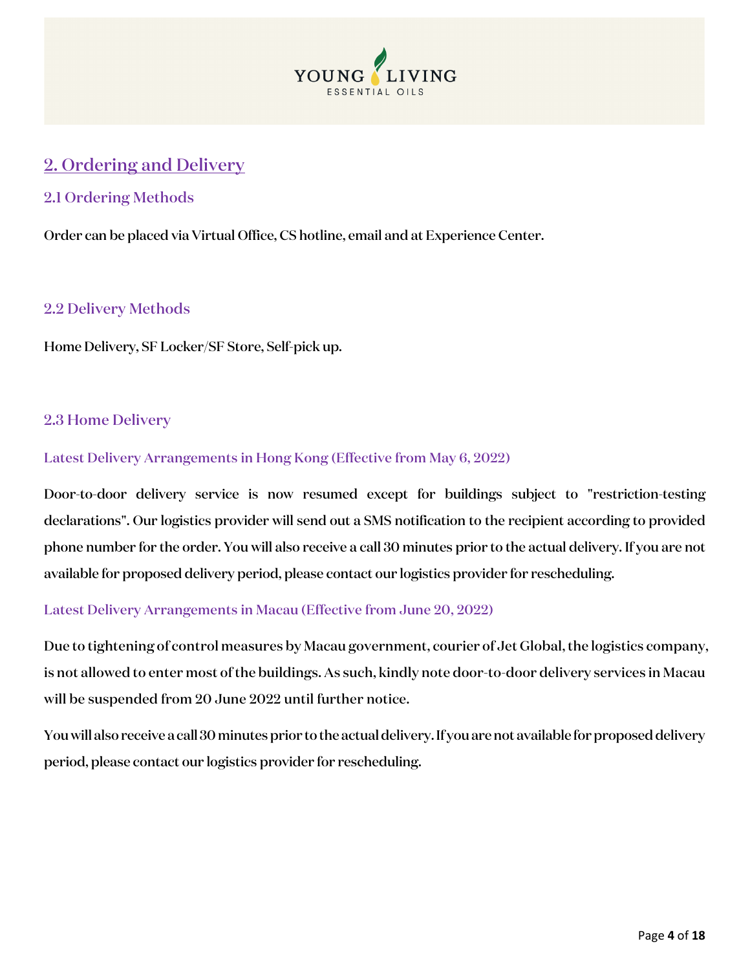

## <span id="page-3-0"></span>2. Ordering and Delivery

#### <span id="page-3-1"></span>2.1 Ordering Methods

Order can be placed via Virtual Office, CS hotline, email and at Experience Center.

#### <span id="page-3-2"></span>2.2 Delivery Methods

Home Delivery, SF Locker/SF Store, Self-pick up.

#### <span id="page-3-3"></span>2.3 Home Delivery

#### Latest Delivery Arrangements in Hong Kong (Effective from May 6, 2022)

Door-to-door delivery service is now resumed except for buildings subject to "restriction-testing declarations". Our logistics provider will send out a SMS notification to the recipient according to provided phone number for the order. You will also receive a call 30 minutes prior to the actual delivery. If you are not available for proposed delivery period, please contact our logistics provider for rescheduling.

#### Latest Delivery Arrangements in Macau (Effective from June 20, 2022)

Due to tightening of control measures by Macau government, courier of Jet Global, the logistics company, is not allowed to enter most of the buildings. As such, kindly note door-to-door delivery services in Macau will be suspended from 20 June 2022 until further notice.

You will also receive a call 30 minutes prior to the actual delivery. If you are not available for proposed delivery period, please contact our logistics provider for rescheduling.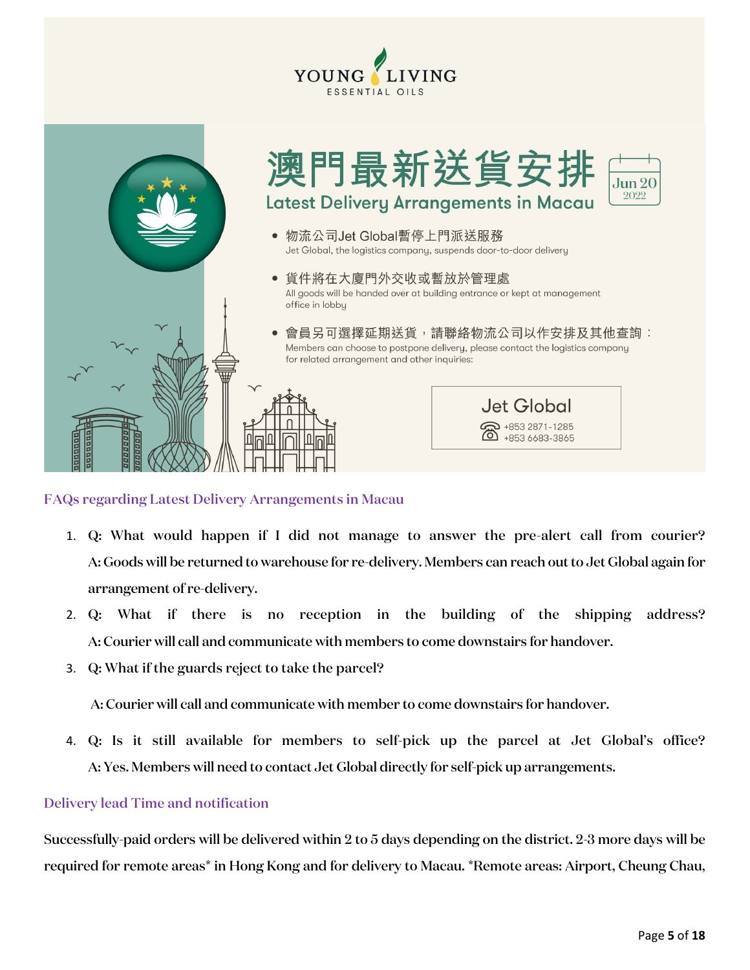



#### FAQs regarding Latest Delivery Arrangements in Macau

- 1. Q: What would happen if I did not manage to answer the pre-alert call from courier? A: Goods will be returned to warehouse for re-delivery. Members can reach out to Jet Global again for arrangement of re-delivery.
- 2. Q: What if there is no reception in the building of the shipping address? A: Courier will call and communicate with members to come downstairs for handover.
- 3. Q: What if the guards reject to take the parcel?

A: Courier will call and communicate with member to come downstairs for handover.

4. Q: Is it still available for members to self-pick up the parcel at Jet Global's office? A: Yes. Members will need to contact Jet Global directly for self-pick up arrangements.

#### Delivery lead Time and notification

Successfully-paid orders will be delivered within 2 to 5 days depending on the district. 2-3 more days will be required for remote areas\* in Hong Kong and for delivery to Macau. \*Remote areas: Airport, Cheung Chau,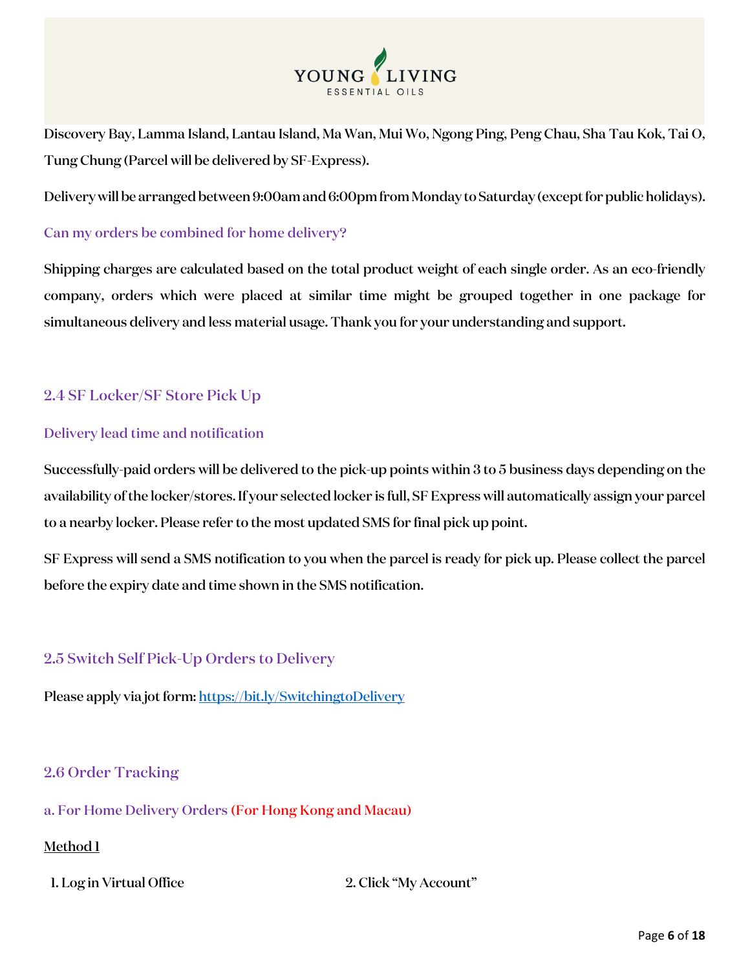

Discovery Bay, Lamma Island, Lantau Island, Ma Wan, Mui Wo, Ngong Ping, Peng Chau, Sha Tau Kok, Tai O, Tung Chung (Parcel will be delivered by SF-Express).

Delivery will be arranged between 9:00am and 6:00pm from Monday to Saturday (except for public holidays).

#### Can my orders be combined for home delivery?

Shipping charges are calculated based on the total product weight of each single order. As an eco-friendly company, orders which were placed at similar time might be grouped together in one package for simultaneous delivery and less material usage. Thank you for your understanding and support.

### <span id="page-5-0"></span>2.4 SF Locker/SF Store Pick Up

#### Delivery lead time and notification

Successfully-paid orders will be delivered to the pick-up points within 3 to 5 business days depending on the availability of the locker/stores. If your selected locker is full, SF Express will automatically assign your parcel to a nearby locker. Please refer to the most updated SMS for final pick up point.

SF Express will send a SMS notification to you when the parcel is ready for pick up. Please collect the parcel before the expiry date and time shown in the SMS notification.

### <span id="page-5-1"></span>2.5 Switch Self Pick-Up Orders to Delivery

Please apply via jot form[: https://bit.ly/SwitchingtoDelivery](https://bit.ly/SwitchingtoDelivery)

#### <span id="page-5-2"></span>2.6 Order Tracking

a. For Home Delivery Orders (For Hong Kong and Macau)

#### Method 1

1. Log in Virtual Office 2. Click "My Account"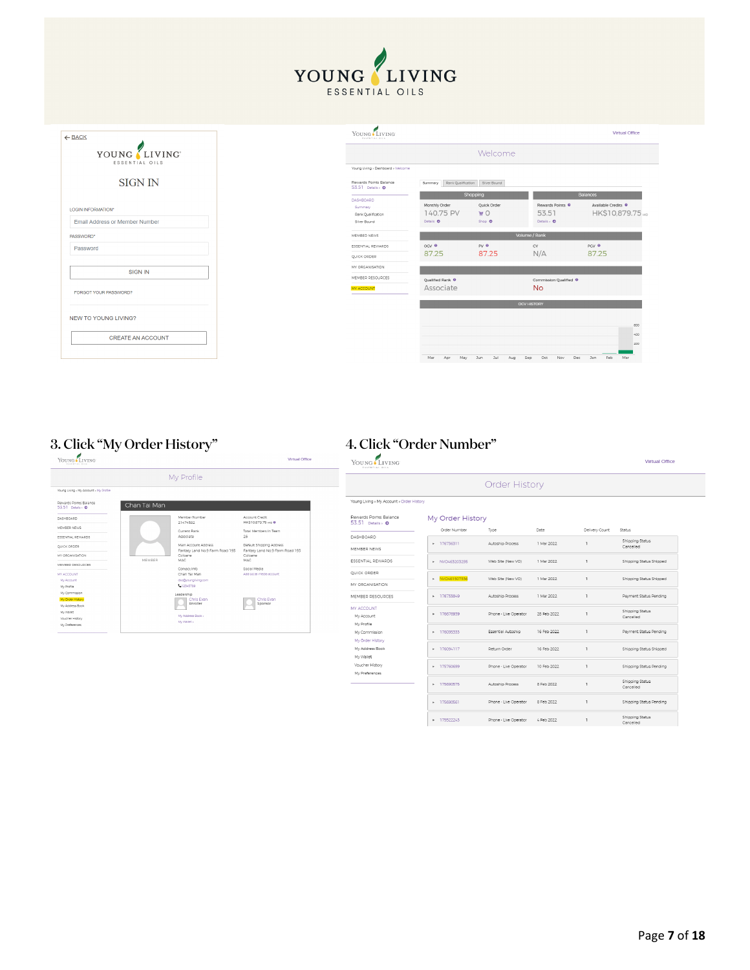| $\leftarrow$ BACK                     | YOUNG LIVING<br>ESSENTIAL OILS                    |                                          |                                           |                                                | Virtual Office                                              |
|---------------------------------------|---------------------------------------------------|------------------------------------------|-------------------------------------------|------------------------------------------------|-------------------------------------------------------------|
| YOUNG LIVING<br>ESSENTIAL OILS        |                                                   |                                          | Welcome                                   |                                                |                                                             |
|                                       | Young Living > Dashboard > Welcome                |                                          |                                           |                                                |                                                             |
| <b>SIGN IN</b>                        | Rewards Points Balance<br>53.51 Details > 0       | Summary Rank Qualification Silver Bound  |                                           |                                                |                                                             |
| LOGIN INFORMATION*                    | <b>DASHBOARD</b><br>Summary<br>Rank Qualification | Monthly Order<br>140.75 PV               | Shopping<br>Oulck Order<br>W <sup>0</sup> | Rewards Points <sup>O</sup><br>53.51           | Balances<br>Available Credits <sup>O</sup><br>HK\$10,879.75 |
| <b>Email Address or Member Number</b> | Silver Bound                                      | Details <b>O</b>                         | Shop <b>O</b>                             | Details > O                                    |                                                             |
| PASSWORD*                             | MEMBER NEWS                                       |                                          |                                           | Volume / Rank                                  |                                                             |
| Password                              | ESSENTIAL REWARDS                                 | OGV <sup>0</sup>                         | py 0                                      | CV                                             | PGV <sup>O</sup>                                            |
|                                       | QUICK ORDER                                       | 87.25                                    | 87.25                                     | N/A                                            | 87.25                                                       |
| SIGN IN                               | MY ORGANISATION                                   |                                          |                                           |                                                |                                                             |
| FORGOT YOUR PASSWORD?                 | MEMBER RESOURCES<br>MY ACCOUNT                    | Oualified Rank <sup>●</sup><br>Associate |                                           | Commission Qualified <sup>O</sup><br><b>No</b> |                                                             |
|                                       |                                                   |                                          |                                           | <b>OCV HISTORY</b>                             |                                                             |
| NEW TO YOUNG LIVING?                  |                                                   |                                          |                                           |                                                | 600                                                         |
| <b>CREATE AN ACCOUNT</b>              |                                                   |                                          |                                           |                                                | 400<br>200                                                  |
|                                       |                                                   | Mar<br>Apr<br>May                        | Jun<br>Jul<br>Aug                         | Sep<br>Oct<br>Nov                              | Dec Jan<br>Feb<br>Mar                                       |

YOUNG LIVING ESSENTIAL OILS

# 3. Click "My Order History"  $\qquad\qquad\qquad$  4. Click "Order Number"  $\frac{f_{\text{LIVING}}}{100000}$

#### My Profile Young Living > My Account > My Profile Rewards Points Balance<br>53.51 Details = 0<br>DASHBOARD<br>MEMBER NEWS Chan Tai Man Member Number<br>21474592<br>Current Rank<br>Associate<br>Main Account Adi<br>Fantasy Land No<br>Coloane<br>MAC Account Credit<br>HK\$10,879.75 ∺o ● MEMBER NEWS<br>
ESSENTIAL REWARDS<br>
QUICK ORDANISATION<br>
MEMBER RESOURCES<br>
MEMBER RESOURCES<br>
MY ACCOUNT<br>
My Accressing<br>
My Accressing<br>
My Accressing<br>
My Accressing<br>
My Accressing<br>
My Accressing<br>
My Accressing<br>
My Accressing<br>
My Total Members In Team<br>26 Default Shipping Addres<br>Fantasy Land No.9 Farr<br>Coloane<br>MAC Contact Info<br>Chan Tai Man dso@youngliv<br>C.12345789 Chris Evan Chris Evan My Address Book<br>My Wallet »

| Virtual Office | YOUNG LIVING<br>FASENTIAL OILS                  |                  |                       |             |                |                              |  |  |  |  |
|----------------|-------------------------------------------------|------------------|-----------------------|-------------|----------------|------------------------------|--|--|--|--|
|                |                                                 |                  | <b>Order History</b>  |             |                |                              |  |  |  |  |
|                | Young Living » My Account » Order History       |                  |                       |             |                |                              |  |  |  |  |
|                | Rewards Points Balance<br>53.51 Details > 0     | My Order History |                       |             |                |                              |  |  |  |  |
|                | DASHBOARD                                       | Order Number     | Type                  | Date        | Delivery Count | Status                       |  |  |  |  |
| s.             |                                                 | + 176736311      | Autoship Process      | 1 Mar 2022  | 1              | Shipping Status<br>Cancelled |  |  |  |  |
| n Road 193     | MEMBER NEWS                                     |                  |                       |             |                |                              |  |  |  |  |
|                | ESSENTIAL REWARDS                               | > NVO463203255   | Web Site (New VO)     | 1 Mar 2022  | 1              | Shipping Status Shipped      |  |  |  |  |
|                | QUICK ORDER                                     | > NVO461507336   | Web Site (New VO)     | 1 Mar 2022  |                | Shipping Status Shipped      |  |  |  |  |
|                | MY ORGANISATION                                 |                  |                       |             |                |                              |  |  |  |  |
|                | MEMBER RESOURCES                                | · 176733849      | Autoship Process      | 1 Mar 2022  |                | Payment Status Pending       |  |  |  |  |
|                | MY ACCOUNT<br>My Account                        | + 176676939      | Phone - Live Operator | 28 Feb 2022 | n,             | Shipping Status<br>Cancelled |  |  |  |  |
|                | My Profile<br>My Commission<br>My Order History | + 176095333      | Essential Autoship    | 16 Feb 2022 |                | Payment Status Pending       |  |  |  |  |
|                | My Address Book<br>My Wallet                    | + 176094117      | Return Order          | 16 Feb 2022 |                | Shipping Status Shipped      |  |  |  |  |
|                | Voucher History<br>My Preferences               | ▶ 175760699      | Phone - Live Operator | 10 Feb 2022 |                | Shipping Status Pending      |  |  |  |  |
|                |                                                 | + 175690575      | Autoship Process      | 8 Feb 2022  | J.             | Shipping Status<br>Cancelled |  |  |  |  |
|                |                                                 | + 175690561      | Phone - Live Operator | 8 Feb 2022  |                | Shipping Status Pending      |  |  |  |  |
|                |                                                 | + 175522243      | Phone - Live Operator | 4 Feb 2022  | $\mathbf{r}$   | Shipping Status<br>Cancelled |  |  |  |  |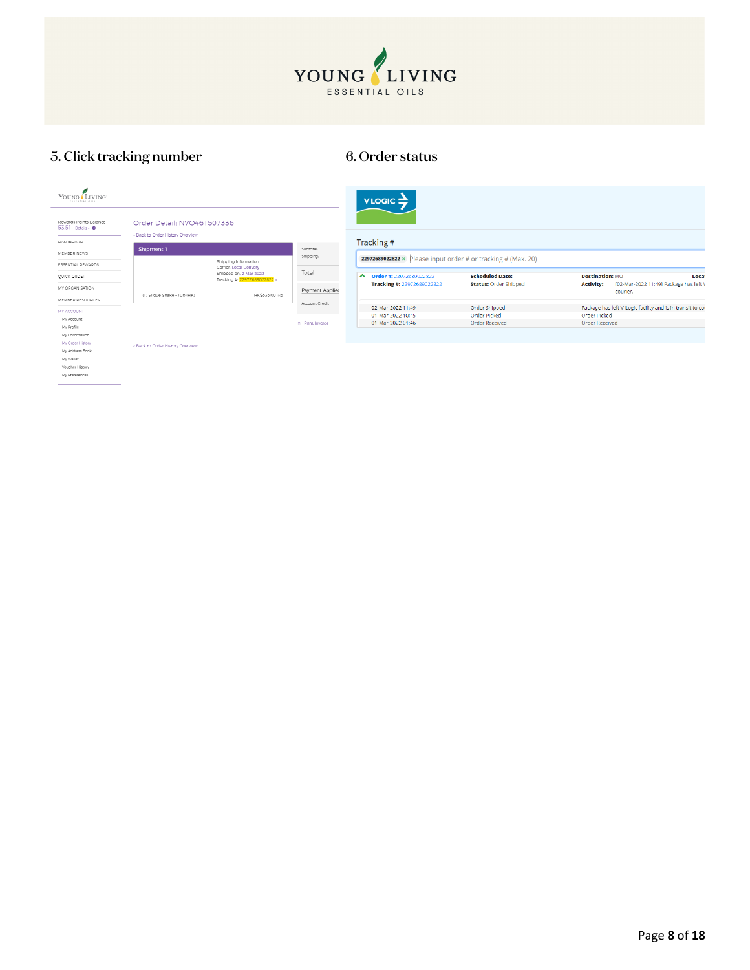

# 5. Click tracking number 6. Order status

| YOUNG LIVING<br>ESSENTIAL OILS              |                                                                |                                                                                  |                 |        | $VLOGIC \equiv$                                               |                              |                        |                                                            |
|---------------------------------------------|----------------------------------------------------------------|----------------------------------------------------------------------------------|-----------------|--------|---------------------------------------------------------------|------------------------------|------------------------|------------------------------------------------------------|
| Rewards Points Balance<br>53.51 Details > 0 | Order Detail: NVO461507336<br>« Back to Order History Overview |                                                                                  |                 |        |                                                               |                              |                        |                                                            |
| DASHBOARD                                   |                                                                |                                                                                  |                 |        | Tracking#                                                     |                              |                        |                                                            |
| MEMBER NEWS                                 | Shipment 1                                                     |                                                                                  | Subtotal:       |        |                                                               |                              |                        |                                                            |
| ESSENTIAL REWARDS                           |                                                                | Shipping Information                                                             | Shipping:       |        | 22972689022822 × Please input order # or tracking # (Max. 20) |                              |                        |                                                            |
| QUICK ORDER                                 |                                                                | Carrier: Local Delivery<br>Shipped on: 2 Mar 2022<br>Tracking # 22972689022822 > | Total           | $\sim$ | Order #: 22972689022822                                       | <b>Scheduled Date: -</b>     | <b>Destination: MO</b> | Locat                                                      |
| MY ORGANISATION                             |                                                                |                                                                                  | Payment Applied |        | Tracking #: 22972689022822                                    | <b>Status: Order Shipped</b> | <b>Activity:</b>       | [02-Mar-2022 11:49] Package has left \<br>courier.         |
| MEMBER RESOURCES                            | (1) Slique Shake - Tub (HK)                                    | HK\$535.00 H/D                                                                   | Account Credit  |        |                                                               |                              |                        |                                                            |
| MY ACCOUNT                                  |                                                                |                                                                                  |                 |        | 02-Mar-2022 11:49                                             | Order Shipped                |                        | Package has left V-Logic facility and is in transit to cou |
| My Account                                  |                                                                |                                                                                  |                 |        | 01-Mar-2022 10:45                                             | <b>Order Picked</b>          | Order Picked           |                                                            |
| My Profile                                  |                                                                |                                                                                  | D Print Invoice |        | 01-Mar-2022 01:46                                             | Order Received               | Order Received         |                                                            |
| My Commission                               |                                                                |                                                                                  |                 |        |                                                               |                              |                        |                                                            |
| My Order History                            | « Back to Order History Overview                               |                                                                                  |                 |        |                                                               |                              |                        |                                                            |
| My Address Book                             |                                                                |                                                                                  |                 |        |                                                               |                              |                        |                                                            |
| My Wallet                                   |                                                                |                                                                                  |                 |        |                                                               |                              |                        |                                                            |
| Voucher History                             |                                                                |                                                                                  |                 |        |                                                               |                              |                        |                                                            |
| My Preferences                              |                                                                |                                                                                  |                 |        |                                                               |                              |                        |                                                            |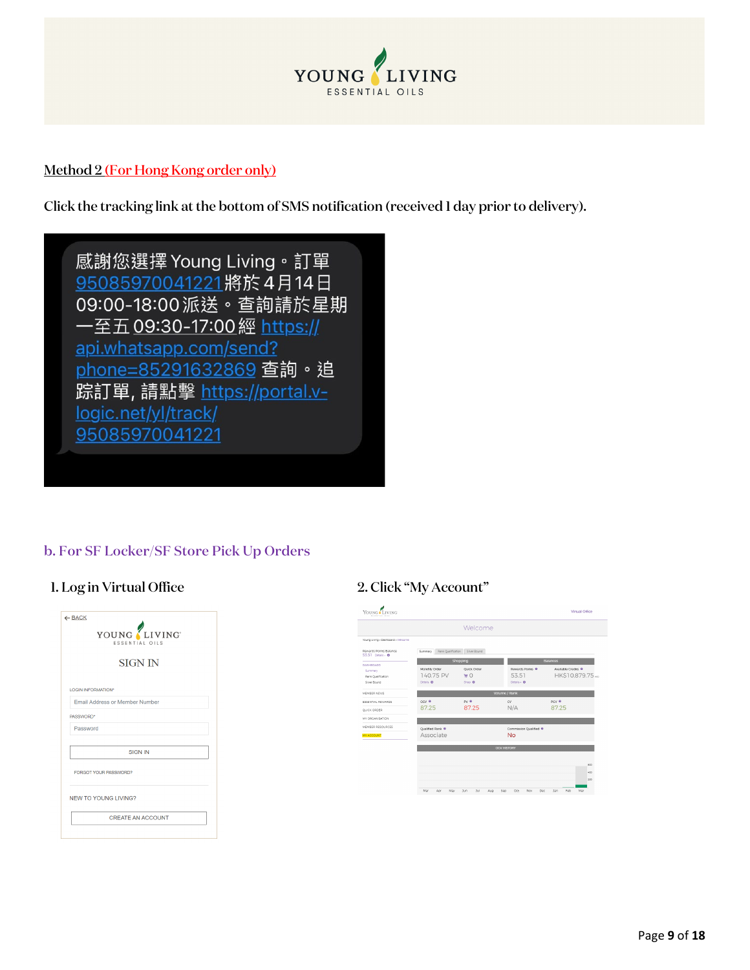

#### Method 2 (For Hong Kong order only)

Click the tracking link at the bottom of SMS notification (received 1 day prior to delivery).



#### b. For SF Locker/SF Store Pick Up Orders

#### 1. Log in Virtual Office 2. Click "My Account"

|           | YOUNG LIVING<br>ESSENTIAL OILS        |
|-----------|---------------------------------------|
|           | <b>SIGN IN</b>                        |
|           | LOGIN INFORMATION*                    |
|           | <b>Email Address or Member Number</b> |
| PASSWORD* |                                       |
| Password  |                                       |
|           | <b>SIGN IN</b>                        |
|           | FORGOT YOUR PASSWORD?                 |
|           | <b>NEW TO YOUNG LIVING?</b>           |
|           | <b>CREATE AN ACCOUNT</b>              |

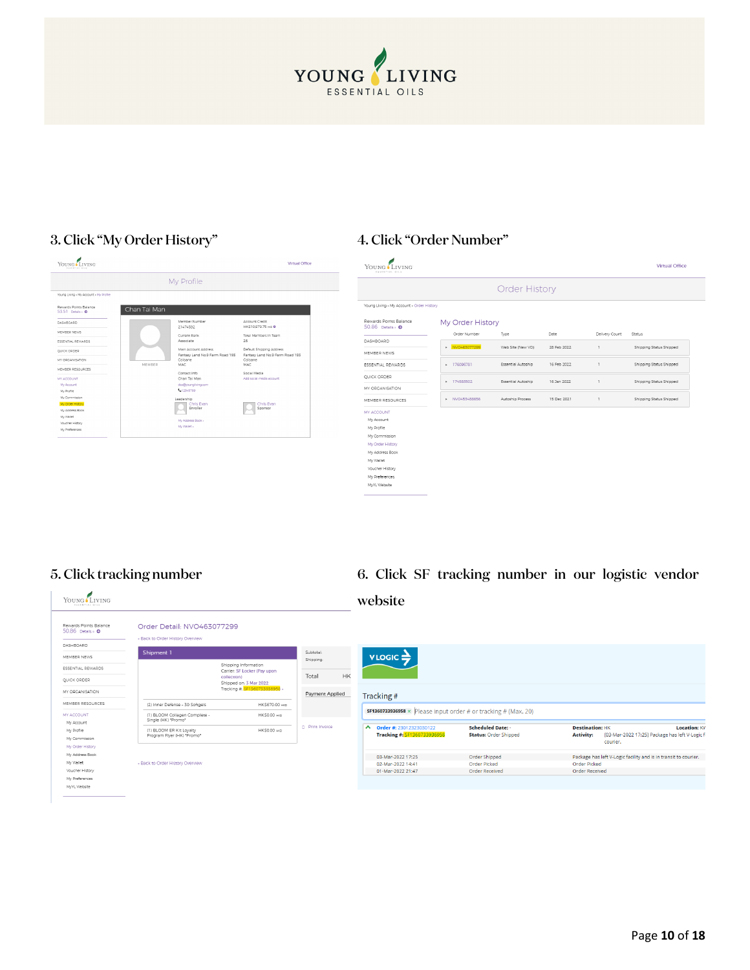

#### 3. Click "My Order History" 4. Click "Order Number"

#### YOUNG LIVING Virtual Office My Profile -<br>Young Living > My Account > My Profile Rewards Points Balance<br>53.51 Details + 0 Chan Tai Man  $\overline{\text{DASHBOARD}}$ Account Credit<br>HKS10.879.75 Hz 0 Member Number<br>21474592 MEMBER NEWS Current Rank<br>Associate Total Members In Team<br>26 ESSENTIAL REWARDS 26<br>Default Shipping Address<br>Fantasy Land No.9 Farm Road 193<br>Coloane<br>MAC Main Account A<br>Fantasy Land N<br>Coloane<br>MAC  $QUICK$  ORDER MY ORGANISATION MEMBER RESOURCES MEMBER RESOUR<br>MY ACCOUNT<br>My Account<br>My Profile<br>My Commission<br>My Address Book<br>My Wallet<br>Voucher History<br>My Address Book<br>My Wallet Contact Info<br>Chan Tai Man Social Media<br>Add social medi dsoftyoungliv<br>1.12345789 Leadership<br>
Chris Evan<br>
Enroller Chris Evan

| YOUNG LIVING<br>ENNEMMERS PLAN              |                  |                      |             |                | Virtual Office          |
|---------------------------------------------|------------------|----------------------|-------------|----------------|-------------------------|
|                                             |                  | <b>Order History</b> |             |                |                         |
| Young Living » My Account » Order History   |                  |                      |             |                |                         |
| Rewards Points Balance<br>50.86 Details > 0 | My Order History |                      |             |                |                         |
|                                             | Order Number     | Type                 | Date        | Delivery Count | Status                  |
| DASHBOARD                                   | > NVO463077299   |                      | 28 Feb 2022 | 1              |                         |
| MEMRED NEWS                                 |                  | Web Site (New VO)    |             |                | Shipping Status Shipped |
| <b>ESSENTIAL REWARDS</b>                    | + 176095781      | Essential Autoship   | 16 Feb 2022 | 1              | Shipping Status Shipped |
| <b>OUICK ORDER</b>                          |                  |                      |             |                |                         |
| MY ORGANISATION                             | > 174583502      | Essential Autoship   | 16 Jan 2022 | $\overline{1}$ | Shipping Status Shipped |
| MEMBER RESOURCES                            | > NVO453488656   | Autoship Process     | 15 Dec 2021 | 1              | Shipping Status Shipped |
| MY ACCOUNT                                  |                  |                      |             |                |                         |
| My Account                                  |                  |                      |             |                |                         |
| My Profile                                  |                  |                      |             |                |                         |
| My Commission                               |                  |                      |             |                |                         |
| My Order History                            |                  |                      |             |                |                         |
| My Address Book                             |                  |                      |             |                |                         |
| My Wallet                                   |                  |                      |             |                |                         |
| Voucher History                             |                  |                      |             |                |                         |
| My Preferences                              |                  |                      |             |                |                         |
| MyYL Website                                |                  |                      |             |                |                         |

#### 5. Click tracking number 6. Click SF tracking number in our logistic vendor

#### YOUNG LIVING websiteRewards Points Balance<br>50.86 Details > 0 Order Detail: NVO463077299 « Back to Order History Overview DASHBOARD Shipment 1 Subtotal:<br>Shipping:  $v$ LOGIC $\Rightarrow$ MEMBER NEWS Shipping Information<br>Carrier: SF Locker (Pay upon<br>collection)<br>Shipped on: 3 Mar 2022<br>Tracking #: <mark>SF1360733936958</mark> ESSENTIAL REWARDS HK: Total QUICK ORDER MY ORGANISATION Payment Applied Tracking# MEMBER RESOURCES (2) Inner Defense - 30 Softgels HK\$670.00 Hz  $sF1360733936958 \times$  Please input order # or tracking # (Max. 20) MY ACCOUNT (1) BLOOM Collagen Complete -<br>Single (HK) "Promo" **HK\$0.00 HKD** My Account ▲ Order #: 23012323030122<br>Tracking #: <mark>SF1360733936958</mark> Scheduled Date: **Destination:** HK<br>**Activity:** [03-Mar-2022 17:25] Package has left V-Logic fi My Profile (1) BLOOM ER Kit Loyalty<br>Program Flyer (HK) \*Promo\* HK\$0.00 HKD Status: Order Shipped My Commission courier. My Order History My Address Book 03-Mar-2022 17:25 Order Shipped Package has left V-Logic facility and is in transit to courier. ,<br>My Wallet<br>Voucher History · Back to Order History Overview 02-Mar-2022 14:41 Order Picked<br>Order Received Order Picked<br>Order Received 01-Mar-2022 21:47 My Preferences MyYL Website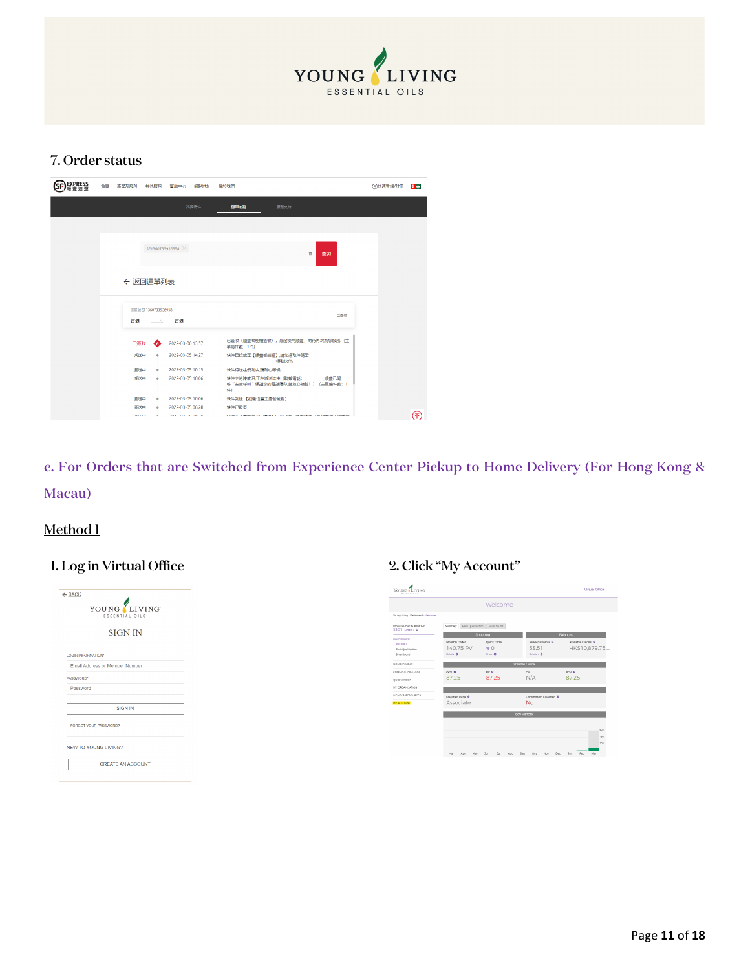

#### 7. Order status

| <b>EXPRESS</b> | 首頁 |             |                                                 | 產品及服務 其他服務 幫助中心 網點地址 | 關於我們                                                                    | <b>①快速登録/註冊</b> | 含血 |
|----------------|----|-------------|-------------------------------------------------|----------------------|-------------------------------------------------------------------------|-----------------|----|
|                |    |             |                                                 | 我要寄件                 | 運車的線<br>服務支持                                                            |                 |    |
|                |    |             |                                                 |                      |                                                                         |                 |    |
|                |    |             |                                                 |                      |                                                                         |                 |    |
|                |    |             |                                                 | SF1360733936958 X    | w<br>查詢                                                                 |                 |    |
|                |    |             | ← 返回運單列表                                        |                      |                                                                         |                 |    |
|                |    |             |                                                 |                      |                                                                         |                 |    |
|                |    | 香港          | 運篮號 SF1360733936958<br><b>Contract Contract</b> | 香港                   | 日振牧                                                                     |                 |    |
|                |    | 已簽收         | Q                                               | 2022-03-06 13:57     | 已簽收 (順豊智能櫃簽收), 感謝使用順豊, 期待再次為您服務. (主<br>單摘件數: 1件)                        |                 |    |
|                |    | 派送中         | $\ddot{\phantom{1}}$                            | 2022-03-05 14:27     | 快件已投放至【順豐智能權】講您馮取件碼至<br>領取快件.                                           |                 |    |
|                |    | 運送中         | $\Phi$                                          | 2022-03-05 10:15     | 快件待送往便利店店商心等候                                                           |                 |    |
|                |    | 派送中         | $\ddot{\phantom{1}}$                            | 2022-03-05 10:06     | 快件交給陳廣羽,正在派送途中 (聯繫電話:<br>順豊已開<br>啓"安全呼叫"保護您的電話購私請放心接聽!) (主單續件數: 1<br>件) |                 |    |
|                |    | 運送中         | $\Phi$                                          | 2022-03-05 10:06     | 快件到達 【紅磡恒豐工廈營業點】                                                        |                 |    |
|                |    | 運送中         | $\ddot{\phantom{1}}$                            | 2022-03-05 06:28     | 快件已發車                                                                   |                 |    |
|                |    | 1983 Months | $\sim$                                          | 2022 02:05:06:28     | H50H+ F网络联合卡西斯里斯 中国公债 体体系化 F4TBMR图下继续器                                  |                 | ′क |

c. For Orders that are Switched from Experience Center Pickup to Home Delivery (For Hong Kong & Macau)

### Method 1

### 1. Log in Virtual Office 2. Click "My Account"

|             | ESSENTIAL OILS                 |
|-------------|--------------------------------|
|             | <b>SIGN IN</b>                 |
|             | <b>LOGIN INFORMATION®</b>      |
|             | Email Address or Member Number |
| PASSIAIORD* |                                |
| Password    |                                |
|             | <b>SIGN IN</b>                 |
|             | FORGOT YOUR PASSWORD?          |
|             | <b>NEW TO YOUNG LIVING?</b>    |
|             | <b>CREATE AN ACCOUNT</b>       |

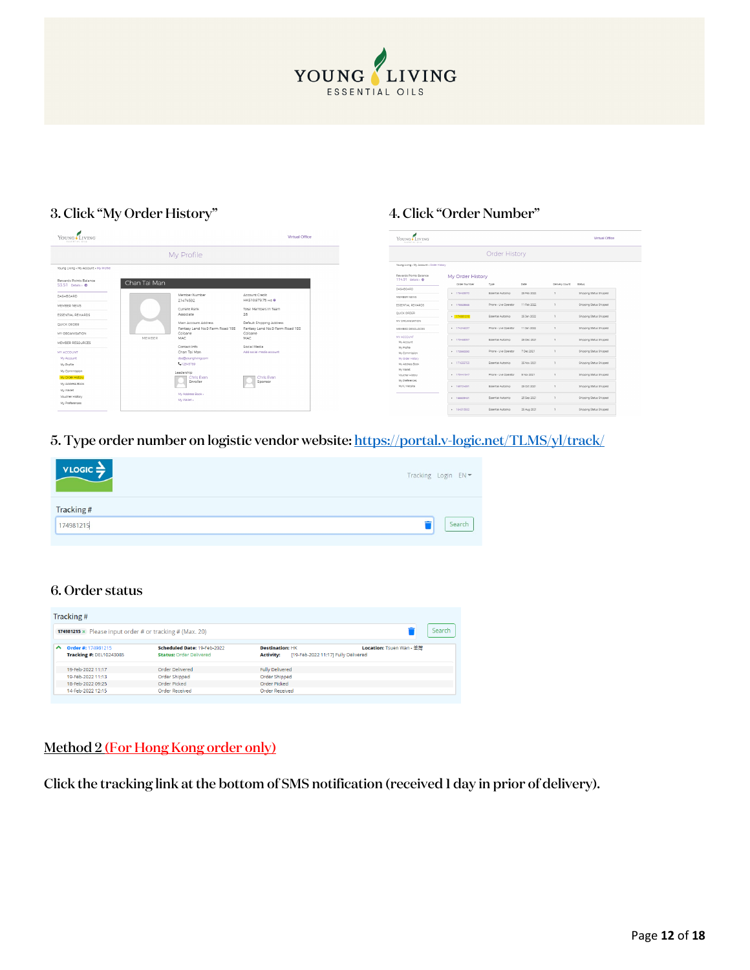

### 3. Click "My Order History" 4. Click "Order Number"

| Young Living<br>ESSENTIAL OILS            |              |                                            | Virtual Office                             |
|-------------------------------------------|--------------|--------------------------------------------|--------------------------------------------|
|                                           |              | My Profile                                 |                                            |
| Young Living > My Account > My Profile    |              |                                            |                                            |
| Rewards Points Ralance<br>53.51 Details 0 | Chan Tai Man |                                            |                                            |
| DASHBOARD                                 |              | Member Number                              | Annount Credit                             |
| MEMBED NEWS                               |              | 21474592                                   | HK\$10.879.75 HD @                         |
|                                           |              | Current Rank                               | Total Members In Team                      |
| ESSENTIAL REWARDS                         |              | Associate                                  | 26                                         |
| QUICK ORDER                               |              | Main Account Address                       | Default Shipping Address                   |
| MY ORGANISATION                           |              | Fantasy Land No.9 Farm Road 193<br>Coloane | Fantasy Land No.9 Farm Road 193<br>Coloane |
|                                           | MEMRER       | MAC                                        | MAC.                                       |
| MEMBER RESOURCES                          |              | Contact Info                               | Social Media                               |
| MY ACCOUNT.                               |              | Chan Tai Man                               | Add social media account                   |
| My Account                                |              | dso@youngilving.com                        |                                            |
| My Profile                                |              | 1.12345789                                 |                                            |
| My Commission                             |              | Leadership                                 |                                            |
| My Order History                          |              | Chris Fyan                                 | Chris Fuan                                 |
| My Address Book                           |              | Enroller                                   | Sponsor                                    |
| My Wallet                                 |              |                                            |                                            |
| Voucher History                           |              | My Address Book »                          |                                            |
| My Preferences                            |              | My Wallet »                                |                                            |

| <b>YOUNG</b> LIVING<br>EXPERIENCE ONLY     | Virtual Office      |                       |             |                |                         |
|--------------------------------------------|---------------------|-----------------------|-------------|----------------|-------------------------|
|                                            |                     | <b>Order History</b>  |             |                |                         |
| Young Living > My Account > Order History  |                     |                       |             |                |                         |
| Rewards Points Ralance<br>114.91 Details 0 | My Order History    |                       |             |                |                         |
|                                            | <b>Order Number</b> | Type                  | Date        | Delivery Count | Status                  |
| DASHROADD<br>MEMBED NEWS                   | + 176483970         | Essential Autoship    | 25 Feb 2022 | ×              | Shipping Status Shipped |
| ESSENTIAL REVIARDS                         | + 125929555         | Phone - Live Operator | 11 Feb 2022 | ×              | Shipping Status Shipped |
| QUICK ORDER                                | $-174981215$        | Essential Autoshio    | 25.360.2022 | ٠              | Shipping Status Shipped |
| MY ODGANISATION<br>MEMBER RESOURCES        | > 174246257         | Phone - Live Operator | 11 Jan 2022 | r.             | Shipping Status Shipped |
| MY ACCOUNT<br>My Account                   | + 173468057         | Essential Autoship    | 25 Dec 2021 | ×              | Shipping Status Shipped |
| My Deptile<br>My Commission                | + 122560250         | Phone - Live Operator | 7 Dec 2021  | r.             | Shipping Status Shipped |
| My Order History<br>My Address Book        | $+ 171655753$       | Essential Autoshio    | 25 Nov 2021 | ٠              | Shipping Status Shipped |
| My Wallet<br>Voucher History               | > 170441547         | Phone - Live Operator | 5 Nov 2021  | ٠              | Shipping Steba Shipped  |
| My Preferences<br>MrVL Website             | $+ 169724891$       | Essential Autoship    | 25 Oct 2021 | r.             | Shipping Status Shipped |
|                                            | $-166600681$        | Essential Autoship    | 25 Sep 2021 | r.             | Shipping Status Shipped |
|                                            | $-164810582$        | Essential Autoshio    | 25 Aug 2021 | n.             | Shipping Status Shipped |

### 5. Type order number on logistic vendor website[: https://portal.v-logic.net/TLMS/yl/track/](https://portal.v-logic.net/TLMS/yl/track/)

| $VLOGIC \rightarrow$ | Tracking Login EN = |
|----------------------|---------------------|
| Tracking#            |                     |
| 174981215            | Search              |

#### 6. Order status

|        | Tracking#                                                              |                                                               |                                                                                   |                          |  |  |  |  |
|--------|------------------------------------------------------------------------|---------------------------------------------------------------|-----------------------------------------------------------------------------------|--------------------------|--|--|--|--|
|        | <b>174981215</b> $\times$ Please input order # or tracking # (Max. 20) |                                                               |                                                                                   | Search                   |  |  |  |  |
| $\sim$ | Order #: 174981215<br><b>Tracking #: DEL10243085</b>                   | Scheduled Date: 19-Feb-2022<br><b>Status: Order Delivered</b> | <b>Destination: HK</b><br>[19-Feb-2022 11:17] Fully Delivered<br><b>Activity:</b> | Location: Tsuen Wan - 茶型 |  |  |  |  |
|        | 19-Feb-2022 11:17                                                      | Order Delivered                                               | <b>Fully Delivered</b>                                                            |                          |  |  |  |  |
|        | 19-Feb-2022 11:13                                                      | Order Shipped                                                 | Order Shipped                                                                     |                          |  |  |  |  |
|        | 18-Feb-2022 09:25                                                      | Order Picked                                                  | <b>Order Picked</b>                                                               |                          |  |  |  |  |
|        | 14-Feb-2022 12:15                                                      | <b>Order Received</b>                                         | <b>Order Received</b>                                                             |                          |  |  |  |  |

#### Method 2 (For Hong Kong order only)

Click the tracking link at the bottom of SMS notification (received 1 day in prior of delivery).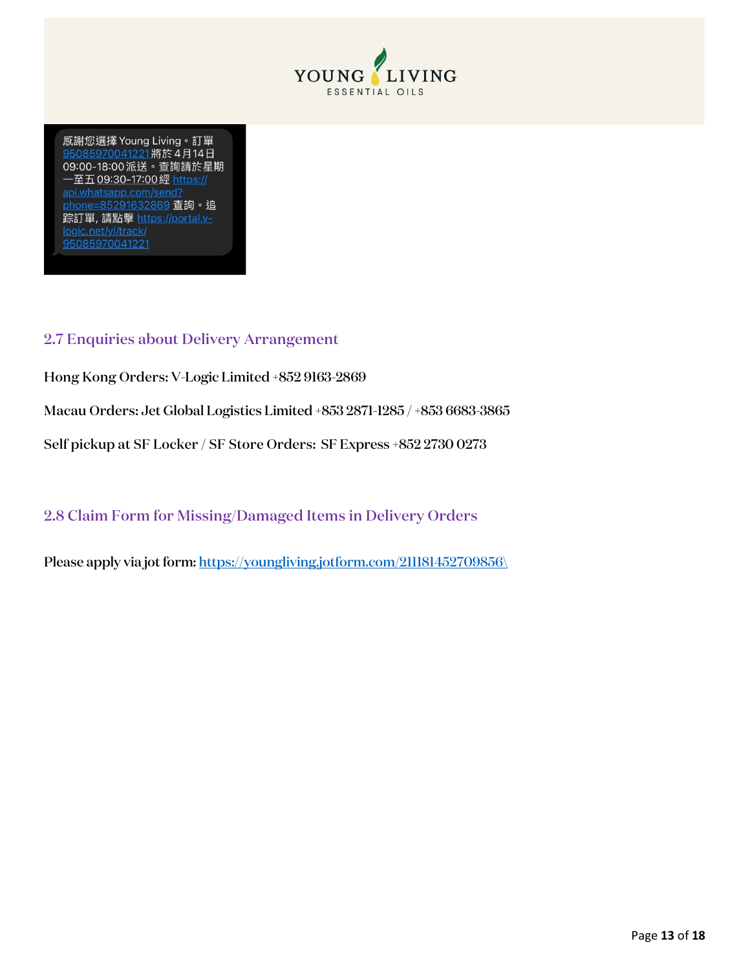

感謝您選擇 Young Living。訂單 95085970041221將於4月14日 09:00-18:00派送。查詢請於星期 一至五09:30-17:00經 https:// api.whatsapp.com/send? phone=85291632869 查詢。追 踪訂單,請點擊 https://portal.v-95085970041221

#### <span id="page-12-0"></span>2.7 Enquiries about Delivery Arrangement

Hong Kong Orders: V-Logic Limited +852 9163-2869

Macau Orders: Jet Global Logistics Limited +853 2871-1285 / +853 6683-3865

Self pickup at SF Locker / SF Store Orders: SF Express +852 2730 0273

<span id="page-12-1"></span>2.8 Claim Form for Missing/Damaged Items in Delivery Orders

Please apply via jot form: [https://youngliving.jotform.com/211181452709856\](https://youngliving.jotform.com/211181452709856/)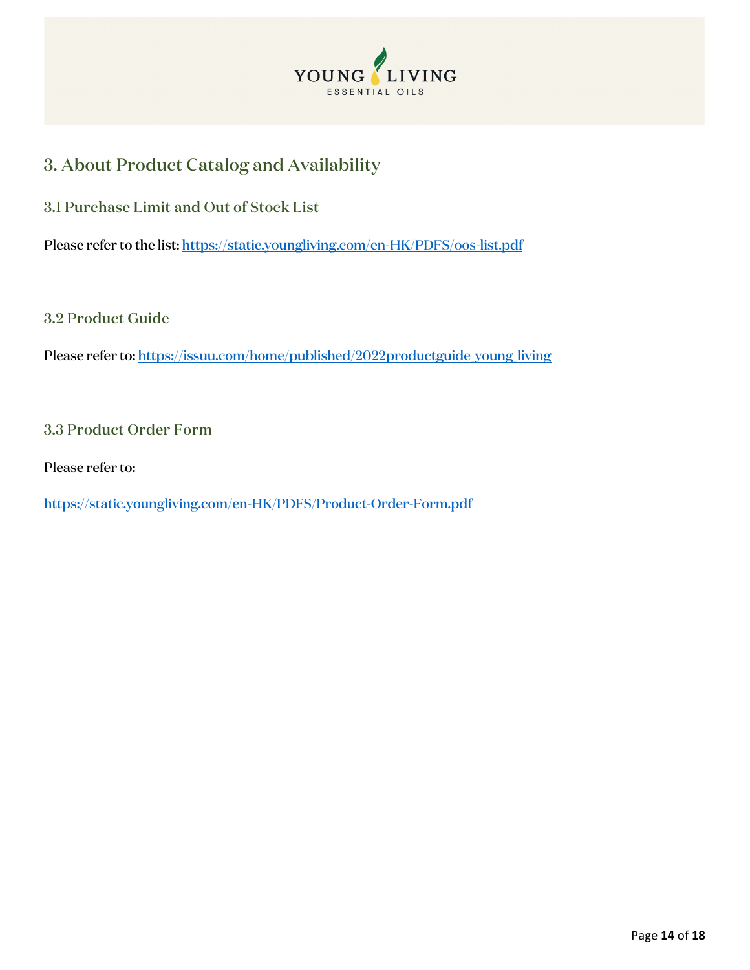

# <span id="page-13-0"></span>3. About Product Catalog and Availability

<span id="page-13-1"></span>3.1 Purchase Limit and Out of Stock List

Please refer to the list:<https://static.youngliving.com/en-HK/PDFS/oos-list.pdf>

<span id="page-13-2"></span>3.2 Product Guide

Please refer to: https://issuu.com/home/published/2022productguide\_young\_living

<span id="page-13-3"></span>3.3 Product Order Form

Please refer to:

<https://static.youngliving.com/en-HK/PDFS/Product-Order-Form.pdf>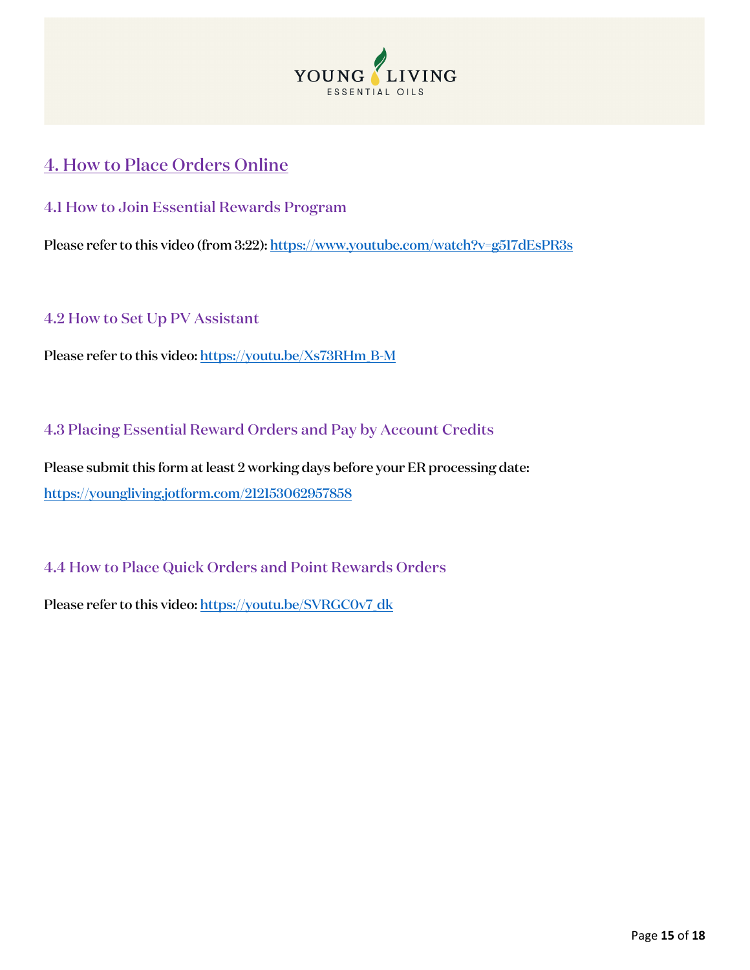

# <span id="page-14-0"></span>4. How to Place Orders Online

<span id="page-14-1"></span>4.1 How to Join Essential Rewards Program

Please refer to this video (from 3:22): https://www.youtube.com/watch?v=g517dEsPR3s

<span id="page-14-2"></span>4.2 How to Set Up PV Assistant

Please refer to this video[: https://youtu.be/Xs73RHm\\_B-M](https://youtu.be/Xs73RHm_B-M)

<span id="page-14-3"></span>4.3 Placing Essential Reward Orders and Pay by Account Credits

Please submit this form at least 2 working days before your ER processing date: <https://youngliving.jotform.com/212153062957858>

<span id="page-14-4"></span>4.4 How to Place Quick Orders and Point Rewards Orders

Please refer to this video[: https://youtu.be/SVRGC0v7\\_dk](https://youtu.be/SVRGC0v7_dk)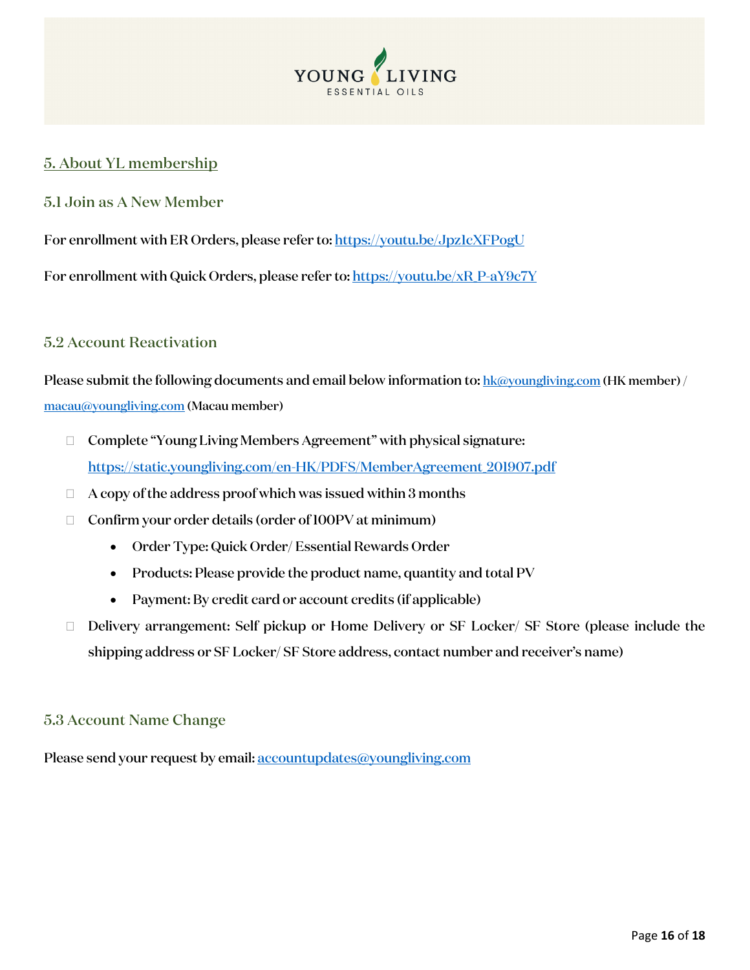

### <span id="page-15-0"></span>5. About YL membership

#### <span id="page-15-1"></span>5.1 Join as A New Member

For enrollment with ER Orders, please refer to: https://youtu.be/Jpz1cXFPogU

For enrollment with Quick Orders, please refer to: [https://youtu.be/xR\\_P-aY9c7Y](https://youtu.be/xR_P-aY9c7Y)\_

#### <span id="page-15-2"></span>5.2 Account Reactivation

Please submit the following documents and email below information to[: hk@youngliving.com](mailto:hk@youngliving.com) (HK member) / [macau@youngliving.com](mailto:macau@youngliving.com) (Macau member)

- □ Complete "Young Living Members Agreement" with physical signature: [https://static.youngliving.com/en-HK/PDFS/MemberAgreement\\_201907.pdf](https://static.youngliving.com/en-HK/PDFS/MemberAgreement_201907.pdf)
- $\Box$  A copy of the address proof which was issued within 3 months
- $\Box$  Confirm your order details (order of 100PV at minimum)
	- Order Type: Quick Order/ Essential Rewards Order
	- Products: Please provide the product name, quantity and total PV
	- Payment: By credit card or account credits (if applicable)
- □ Delivery arrangement: Self pickup or Home Delivery or SF Locker/ SF Store (please include the shipping address or SF Locker/ SF Store address, contact number and receiver's name)

#### <span id="page-15-3"></span>5.3 Account Name Change

Please send your request by email: accountupdates@youngliving.com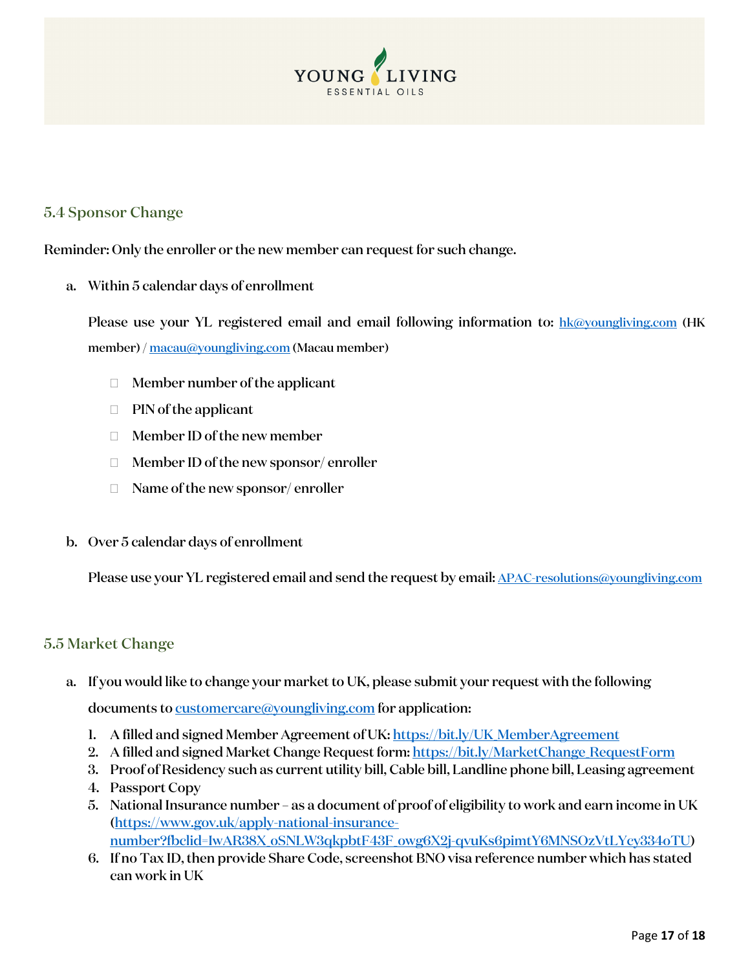

#### <span id="page-16-0"></span>5.4 Sponsor Change

Reminder: Only the enroller or the new member can request for such change.

a. Within 5 calendar days of enrollment

Please use your YL registered email and email following information to: [hk@youngliving.com](mailto:hk@youngliving.com) (HK member) [/ macau@youngliving.com](mailto:macau@youngliving.com) (Macau member)

- $\Box$  Member number of the applicant
- $\Box$  PIN of the applicant
- Member ID of the new member
- $\Box$  Member ID of the new sponsor/enroller
- $\Box$  Name of the new sponsor/enroller
- b. Over 5 calendar days of enrollment

Please use your YL registered email and send the request by email[: APAC-resolutions@youngliving.com](mailto:APAC-resolutions@youngliving.com)

#### <span id="page-16-1"></span>5.5 Market Change

- a. If you would like to change your market to UK, please submit your request with the following documents t[o customercare@youngliving.com](mailto:customercare@youngliving.com) for application:
	- 1. A filled and signed Member Agreement of UK: [https://bit.ly/UK\\_MemberAgreement](https://bit.ly/UK_MemberAgreement)
	- 2. A filled and signed Market Change Request form: https://bit.ly/MarketChange\_RequestForm
	- 3. Proof of Residency such as current utility bill, Cable bill, Landline phone bill, Leasing agreement
	- 4. Passport Copy
	- 5. National Insurance number as a document of proof of eligibility to work and earn income in UK [\(https://www.gov.uk/apply-national-insurance](https://www.gov.uk/apply-national-insurance-number?fbclid=IwAR38X_oSNLW3qkpbtF43F_owg6X2j-qvuKs6pimtY6MNSOzVtLYcy334oTU)[number?fbclid=IwAR38X\\_oSNLW3qkpbtF43F\\_owg6X2j-qvuKs6pimtY6MNSOzVtLYcy334oTU\)](https://www.gov.uk/apply-national-insurance-number?fbclid=IwAR38X_oSNLW3qkpbtF43F_owg6X2j-qvuKs6pimtY6MNSOzVtLYcy334oTU)
	- 6. If no Tax ID, then provide Share Code, screenshot BNO visa reference number which has stated can work in UK